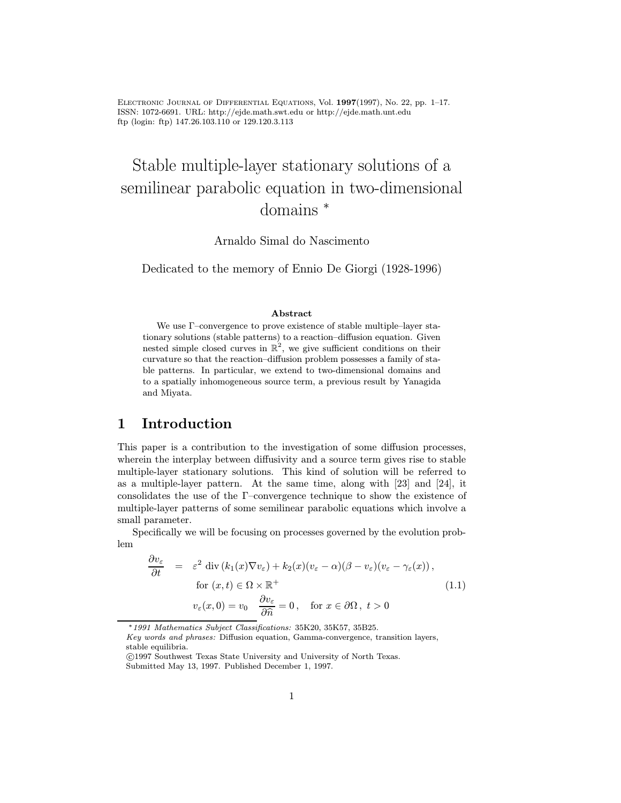Electronic Journal of Differential Equations, Vol. 1997(1997), No. 22, pp. 1–17. ISSN: 1072-6691. URL: http://ejde.math.swt.edu or http://ejde.math.unt.edu ftp (login: ftp) 147.26.103.110 or 129.120.3.113

# Stable multiple-layer stationary solutions of a semilinear parabolic equation in two-dimensional domains <sup>∗</sup>

Arnaldo Simal do Nascimento

Dedicated to the memory of Ennio De Giorgi (1928-1996)

#### Abstract

We use Γ–convergence to prove existence of stable multiple–layer stationary solutions (stable patterns) to a reaction–diffusion equation. Given nested simple closed curves in  $\mathbb{R}^2$ , we give sufficient conditions on their curvature so that the reaction–diffusion problem possesses a family of stable patterns. In particular, we extend to two-dimensional domains and to a spatially inhomogeneous source term, a previous result by Yanagida and Miyata.

## 1 Introduction

This paper is a contribution to the investigation of some diffusion processes, wherein the interplay between diffusivity and a source term gives rise to stable multiple-layer stationary solutions. This kind of solution will be referred to as a multiple-layer pattern. At the same time, along with [23] and [24], it consolidates the use of the Γ–convergence technique to show the existence of multiple-layer patterns of some semilinear parabolic equations which involve a small parameter.

Specifically we will be focusing on processes governed by the evolution problem

$$
\frac{\partial v_{\varepsilon}}{\partial t} = \varepsilon^{2} \operatorname{div} (k_{1}(x) \nabla v_{\varepsilon}) + k_{2}(x) (v_{\varepsilon} - \alpha) (\beta - v_{\varepsilon}) (v_{\varepsilon} - \gamma_{\varepsilon}(x)),
$$
  
for  $(x, t) \in \Omega \times \mathbb{R}^{+}$   

$$
v_{\varepsilon}(x, 0) = v_{0} \frac{\partial v_{\varepsilon}}{\partial \hat{n}} = 0, \text{ for } x \in \partial \Omega, t > 0
$$
 (1.1)

<sup>∗</sup>1991 Mathematics Subject Classifications: 35K20, 35K57, 35B25.

Key words and phrases: Diffusion equation, Gamma-convergence, transition layers, stable equilibria.

c 1997 Southwest Texas State University and University of North Texas. Submitted May 13, 1997. Published December 1, 1997.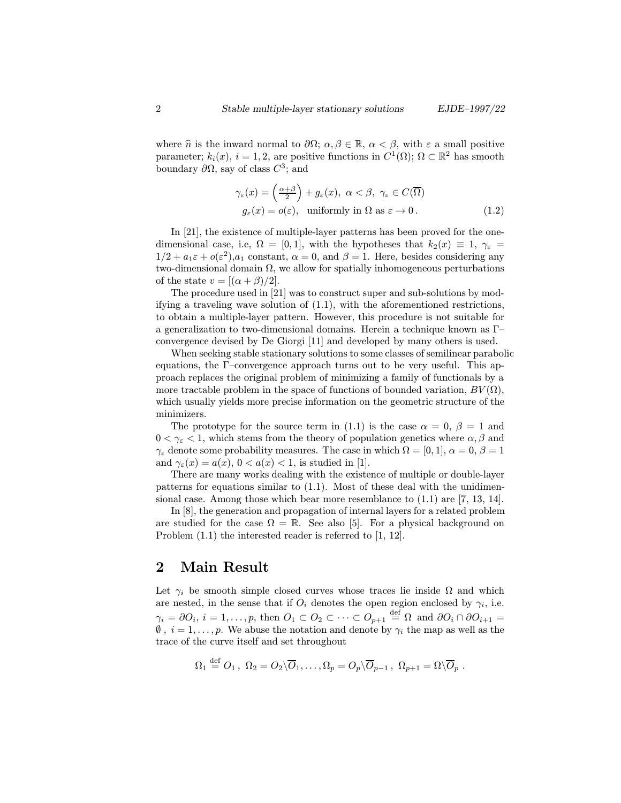where  $\hat{n}$  is the inward normal to  $\partial\Omega$ ;  $\alpha, \beta \in \mathbb{R}$ ,  $\alpha < \beta$ , with  $\varepsilon$  a small positive parameter;  $k_i(x)$ ,  $i = 1, 2$ , are positive functions in  $C^1(\Omega)$ ;  $\Omega \subset \mathbb{R}^2$  has smooth boundary  $\partial\Omega$ , say of class  $C^3$ ; and

$$
\gamma_{\varepsilon}(x) = \left(\frac{\alpha + \beta}{2}\right) + g_{\varepsilon}(x), \ \alpha < \beta, \ \gamma_{\varepsilon} \in C(\overline{\Omega})
$$

$$
g_{\varepsilon}(x) = o(\varepsilon), \ \text{ uniformly in } \Omega \text{ as } \varepsilon \to 0. \tag{1.2}
$$

In [21], the existence of multiple-layer patterns has been proved for the onedimensional case, i.e,  $\Omega = [0, 1]$ , with the hypotheses that  $k_2(x) \equiv 1$ ,  $\gamma_{\varepsilon} =$  $1/2 + a_1 \varepsilon + o(\varepsilon^2), a_1$  constant,  $\alpha = 0$ , and  $\beta = 1$ . Here, besides considering any two-dimensional domain  $\Omega$ , we allow for spatially inhomogeneous perturbations of the state  $v = [(\alpha + \beta)/2]$ .

The procedure used in [21] was to construct super and sub-solutions by modifying a traveling wave solution of (1.1), with the aforementioned restrictions, to obtain a multiple-layer pattern. However, this procedure is not suitable for a generalization to two-dimensional domains. Herein a technique known as Γ– convergence devised by De Giorgi [11] and developed by many others is used.

When seeking stable stationary solutions to some classes of semilinear parabolic equations, the Γ–convergence approach turns out to be very useful. This approach replaces the original problem of minimizing a family of functionals by a more tractable problem in the space of functions of bounded variation,  $BV(\Omega)$ , which usually yields more precise information on the geometric structure of the minimizers.

The prototype for the source term in (1.1) is the case  $\alpha = 0, \beta = 1$  and  $0 < \gamma_{\varepsilon} < 1$ , which stems from the theory of population genetics where  $\alpha, \beta$  and  $\gamma_{\varepsilon}$  denote some probability measures. The case in which  $\Omega = [0, 1], \alpha = 0, \beta = 1$ and  $\gamma_{\varepsilon}(x) = a(x), 0 < a(x) < 1$ , is studied in [1].

There are many works dealing with the existence of multiple or double-layer patterns for equations similar to (1.1). Most of these deal with the unidimensional case. Among those which bear more resemblance to (1.1) are [7, 13, 14].

In [8], the generation and propagation of internal layers for a related problem are studied for the case  $\Omega = \mathbb{R}$ . See also [5]. For a physical background on Problem (1.1) the interested reader is referred to [1, 12].

### 2 Main Result

Let  $\gamma_i$  be smooth simple closed curves whose traces lie inside  $\Omega$  and which are nested, in the sense that if  $O_i$  denotes the open region enclosed by  $\gamma_i$ , i.e.  $\gamma_i = \partial O_i, i = 1, \ldots, p$ , then  $O_1 \subset O_2 \subset \cdots \subset O_{p+1} \stackrel{\text{def}}{=} \Omega$  and  $\partial O_i \cap \partial O_{i+1} =$  $\emptyset$ ,  $i = 1, \ldots, p$ . We abuse the notation and denote by  $\gamma_i$  the map as well as the trace of the curve itself and set throughout

$$
\Omega_1 \stackrel{\text{def}}{=} O_1, \ \Omega_2 = O_2 \backslash \overline{O}_1, \dots, \Omega_p = O_p \backslash \overline{O}_{p-1}, \ \Omega_{p+1} = \Omega \backslash \overline{O}_p \ .
$$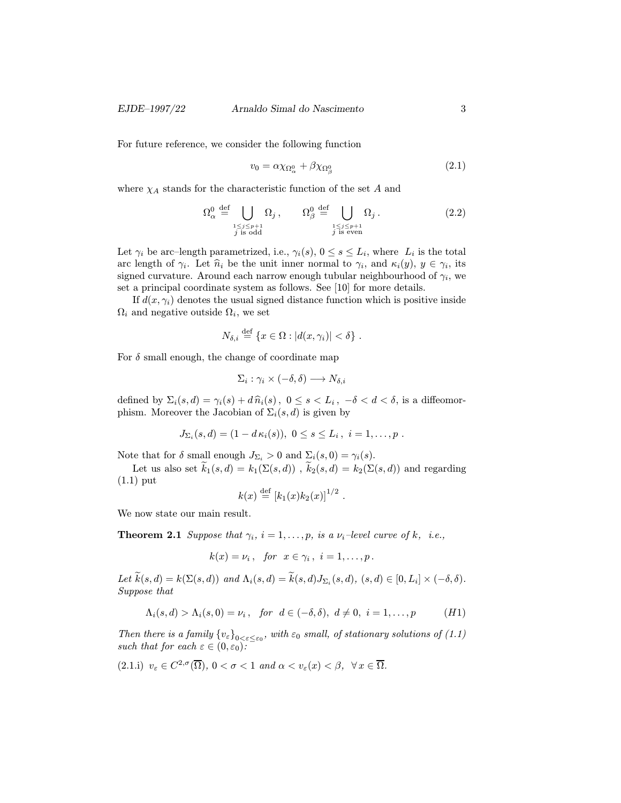For future reference, we consider the following function

$$
v_0 = \alpha \chi_{\Omega^0_{\alpha}} + \beta \chi_{\Omega^0_{\beta}} \tag{2.1}
$$

where  $\chi_A$  stands for the characteristic function of the set A and

$$
\Omega_{\alpha}^{0} \stackrel{\text{def}}{=} \bigcup_{\substack{1 \le j \le p+1 \\ j \text{ is odd}}} \Omega_{j}, \qquad \Omega_{\beta}^{0} \stackrel{\text{def}}{=} \bigcup_{\substack{1 \le j \le p+1 \\ j \text{ is even}}} \Omega_{j}. \tag{2.2}
$$

Let  $\gamma_i$  be arc–length parametrized, i.e.,  $\gamma_i(s)$ ,  $0 \le s \le L_i$ , where  $L_i$  is the total arc length of  $\gamma_i$ . Let  $\hat{n}_i$  be the unit inner normal to  $\gamma_i$ , and  $\kappa_i(y)$ ,  $y \in \gamma_i$ , its signed curvature. Around each narrow enough tubular neighbourhood of  $\gamma_i$ , we set a principal coordinate system as follows. See [10] for more details.

If  $d(x, \gamma_i)$  denotes the usual signed distance function which is positive inside  $\Omega_i$  and negative outside  $\Omega_i$ , we set

$$
N_{\delta,i} \stackrel{\text{def}}{=} \{x \in \Omega : |d(x, \gamma_i)| < \delta\} \; .
$$

For  $\delta$  small enough, the change of coordinate map

$$
\Sigma_i : \gamma_i \times (-\delta, \delta) \longrightarrow N_{\delta, i}
$$

defined by  $\Sigma_i(s, d) = \gamma_i(s) + d\hat{n}_i(s)$ ,  $0 \le s < L_i$ ,  $-\delta < d < \delta$ , is a diffeomorphism. Moreover the Jacobian of  $\Sigma_i(s, d)$  is given by

$$
J_{\Sigma_i}(s, d) = (1 - d\kappa_i(s)), \ 0 \le s \le L_i, \ i = 1, \ldots, p \ .
$$

Note that for  $\delta$  small enough  $J_{\Sigma_i} > 0$  and  $\Sigma_i(s, 0) = \gamma_i(s)$ .

Let us also set  $\widetilde{k}_1(s, d) = k_1(\Sigma(s, d))$ ,  $\widetilde{k}_2(s, d) = k_2(\Sigma(s, d))$  and regarding (1.1) put

$$
k(x) \stackrel{\text{def}}{=} [k_1(x)k_2(x)]^{1/2}
$$

We now state our main result.

**Theorem 2.1** Suppose that  $\gamma_i$ ,  $i = 1, \ldots, p$ , is a  $\nu_i$ -level curve of k, i.e.,

$$
k(x) = \nu_i, \text{ for } x \in \gamma_i, i = 1, \ldots, p.
$$

Let  $\widetilde{k}(s, d) = k(\Sigma(s, d))$  and  $\Lambda_i(s, d) = \widetilde{k}(s, d)J_{\Sigma_i}(s, d)$ ,  $(s, d) \in [0, L_i] \times (-\delta, \delta)$ . Suppose that

$$
\Lambda_i(s,d) > \Lambda_i(s,0) = \nu_i, \quad \text{for} \quad d \in (-\delta,\delta), \ d \neq 0, \ i = 1,\ldots,p \tag{H1}
$$

Then there is a family  ${v_{\varepsilon}}_{0<\varepsilon<\varepsilon_0}$ , with  $\varepsilon_0$  small, of stationary solutions of (1.1) such that for each  $\varepsilon \in (0, \varepsilon_0)$ :

$$
(2.1.i) \ \ v_{\varepsilon} \in C^{2,\sigma}(\overline{\Omega}), \ 0 < \sigma < 1 \ \ and \ \alpha < v_{\varepsilon}(x) < \beta, \ \ \forall \, x \in \overline{\Omega}.
$$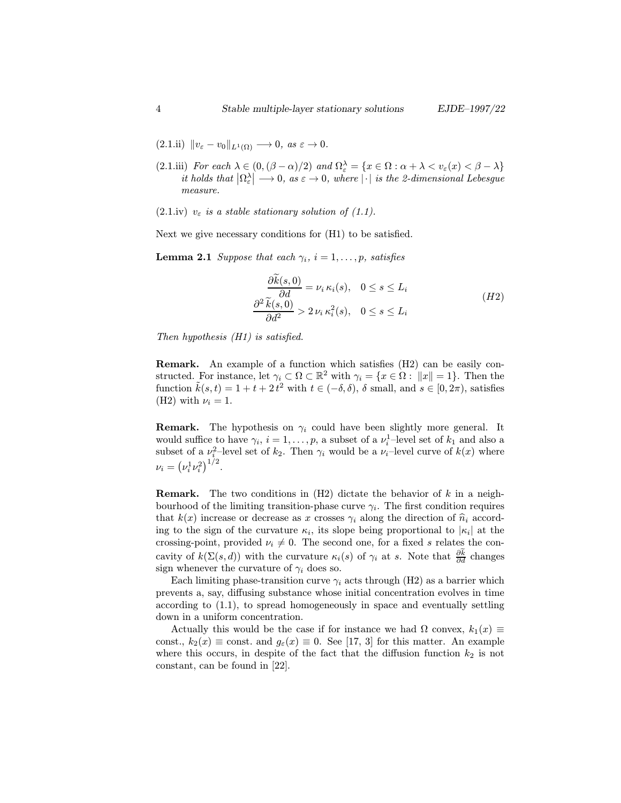- (2.1.iii) For each  $\lambda \in (0, (\beta \alpha)/2)$  and  $\Omega_{\varepsilon}^{\lambda} = \{x \in \Omega : \alpha + \lambda < v_{\varepsilon}(x) < \beta \lambda\}$ it holds that  $|\Omega_{\varepsilon}^{\lambda}| \longrightarrow 0$ , as  $\varepsilon \to 0$ , where  $|\cdot|$  is the 2-dimensional Lebesgue measure.
- (2.1.iv)  $v_{\varepsilon}$  is a stable stationary solution of (1.1).

Next we give necessary conditions for (H1) to be satisfied.

**Lemma 2.1** Suppose that each  $\gamma_i$ ,  $i = 1, \ldots, p$ , satisfies

$$
\frac{\partial \tilde{k}(s,0)}{\partial d} = \nu_i \kappa_i(s), \quad 0 \le s \le L_i
$$
\n
$$
\frac{\partial^2 \tilde{k}(s,0)}{\partial d^2} > 2 \nu_i \kappa_i^2(s), \quad 0 \le s \le L_i
$$
\n(H2)

Then hypothesis (H1) is satisfied.

Remark. An example of a function which satisfies (H2) can be easily constructed. For instance, let  $\gamma_i \subset \Omega \subset \mathbb{R}^2$  with  $\gamma_i = \{x \in \Omega : ||x|| = 1\}$ . Then the function  $\tilde{k}(s,t) = 1 + t + 2 t^2$  with  $t \in (-\delta, \delta)$ ,  $\delta$  small, and  $s \in [0, 2\pi)$ , satisfies (H2) with  $\nu_i = 1$ .

**Remark.** The hypothesis on  $\gamma_i$  could have been slightly more general. It would suffice to have  $\gamma_i$ ,  $i = 1, \ldots, p$ , a subset of a  $\nu_i^1$ -level set of  $k_1$  and also a subset of a  $\nu_i^2$ -level set of  $k_2$ . Then  $\gamma_i$  would be a  $\nu_i$ -level curve of  $k(x)$  where  $\nu_i = (\nu_i^1 \nu_i^2)^{1/2}.$ 

**Remark.** The two conditions in  $(H2)$  dictate the behavior of k in a neighbourhood of the limiting transition-phase curve  $\gamma_i$ . The first condition requires that  $k(x)$  increase or decrease as x crosses  $\gamma_i$  along the direction of  $\hat{n}_i$  according to the sign of the curvature  $\kappa_i$ , its slope being proportional to  $|\kappa_i|$  at the crossing-point, provided  $\nu_i \neq 0$ . The second one, for a fixed s relates the concavity of  $k(\Sigma(s, d))$  with the curvature  $\kappa_i(s)$  of  $\gamma_i$  at s. Note that  $\frac{\partial k}{\partial d}$  changes sign whenever the curvature of  $\gamma_i$  does so.

Each limiting phase-transition curve  $\gamma_i$  acts through (H2) as a barrier which prevents a, say, diffusing substance whose initial concentration evolves in time according to (1.1), to spread homogeneously in space and eventually settling down in a uniform concentration.

Actually this would be the case if for instance we had  $\Omega$  convex,  $k_1(x) \equiv$ const.,  $k_2(x) \equiv \text{const.}$  and  $g_{\varepsilon}(x) \equiv 0$ . See [17, 3] for this matter. An example where this occurs, in despite of the fact that the diffusion function  $k_2$  is not constant, can be found in [22].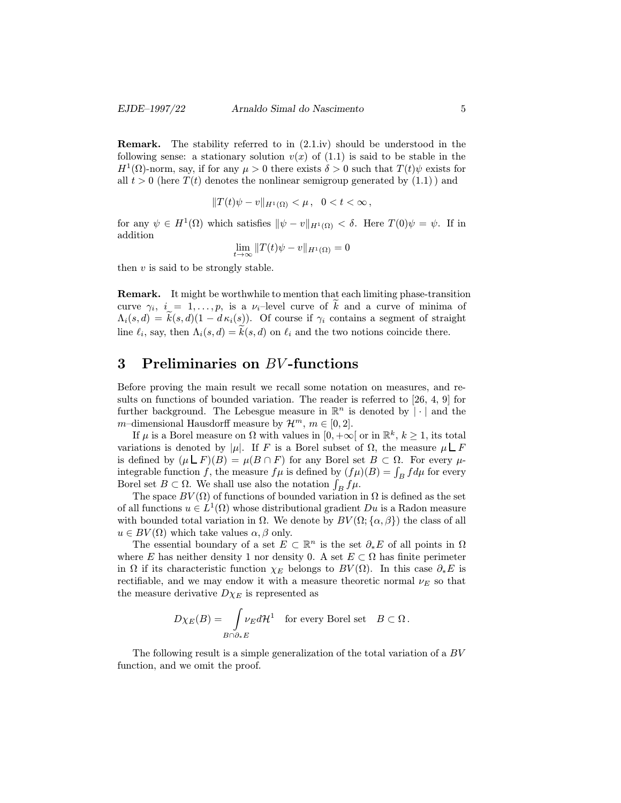Remark. The stability referred to in (2.1.iv) should be understood in the following sense: a stationary solution  $v(x)$  of  $(1.1)$  is said to be stable in the  $H^1(\Omega)$ -norm, say, if for any  $\mu > 0$  there exists  $\delta > 0$  such that  $T(t)\psi$  exists for all  $t > 0$  (here  $T(t)$  denotes the nonlinear semigroup generated by  $(1.1)$ ) and

$$
||T(t)\psi - v||_{H^1(\Omega)} < \mu \,, \ \ 0 < t < \infty \,,
$$

for any  $\psi \in H^1(\Omega)$  which satisfies  $\|\psi - v\|_{H^1(\Omega)} < \delta$ . Here  $T(0)\psi = \psi$ . If in addition

$$
\lim_{t \to \infty} ||T(t)\psi - v||_{H^1(\Omega)} = 0
$$

then  $v$  is said to be strongly stable.

Remark. It might be worthwhile to mention that each limiting phase-transition curve  $\gamma_i$ ,  $i = 1, \ldots, p$ , is a  $\nu_i$ -level curve of  $\tilde{k}$  and a curve of minima of  $\Lambda_i(s, d) = k(s, d)(1 - d\kappa_i(s))$ . Of course if  $\gamma_i$  contains a segment of straight line  $\ell_i$ , say, then  $\Lambda_i(s, d) = k(s, d)$  on  $\ell_i$  and the two notions coincide there.

### 3 Preliminaries on BV -functions

Before proving the main result we recall some notation on measures, and results on functions of bounded variation. The reader is referred to [26, 4, 9] for further background. The Lebesgue measure in  $\mathbb{R}^n$  is denoted by  $|\cdot|$  and the m–dimensional Hausdorff measure by  $\mathcal{H}^m$ ,  $m \in [0, 2]$ .

If  $\mu$  is a Borel measure on  $\Omega$  with values in  $[0, +\infty]$  or in  $\mathbb{R}^k$ ,  $k \geq 1$ , its total variations is denoted by  $|\mu|$ . If F is a Borel subset of  $\Omega$ , the measure  $\mu \Box F$ is defined by  $(\mu \perp F)(B) = \mu(B \cap F)$  for any Borel set  $B \subset \Omega$ . For every  $\mu$ integrable function f, the measure  $f\mu$  is defined by  $(f\mu)(B) = \int_B f d\mu$  for every Borel set  $B \subset \Omega$ . We shall use also the notation  $\int_B f \mu$ .

The space  $BV(\Omega)$  of functions of bounded variation in  $\Omega$  is defined as the set of all functions  $u \in L^1(\Omega)$  whose distributional gradient Du is a Radon measure with bounded total variation in  $\Omega$ . We denote by  $BV(\Omega;\{\alpha,\beta\})$  the class of all  $u \in BV(\Omega)$  which take values  $\alpha, \beta$  only.

The essential boundary of a set  $E \subset \mathbb{R}^n$  is the set  $\partial_* E$  of all points in  $\Omega$ where E has neither density 1 nor density 0. A set  $E \subset \Omega$  has finite perimeter in  $\Omega$  if its characteristic function  $\chi_E$  belongs to  $BV(\Omega)$ . In this case  $\partial_* E$  is rectifiable, and we may endow it with a measure theoretic normal  $\nu_E$  so that the measure derivative  $D\chi_E$  is represented as

$$
D\chi_E(B)=\int\limits_{B\cap\partial_*E}\!\nu_Ed\mathcal{H}^1\quad\text{for every Borel set}\quad B\subset\Omega\,.
$$

The following result is a simple generalization of the total variation of a BV function, and we omit the proof.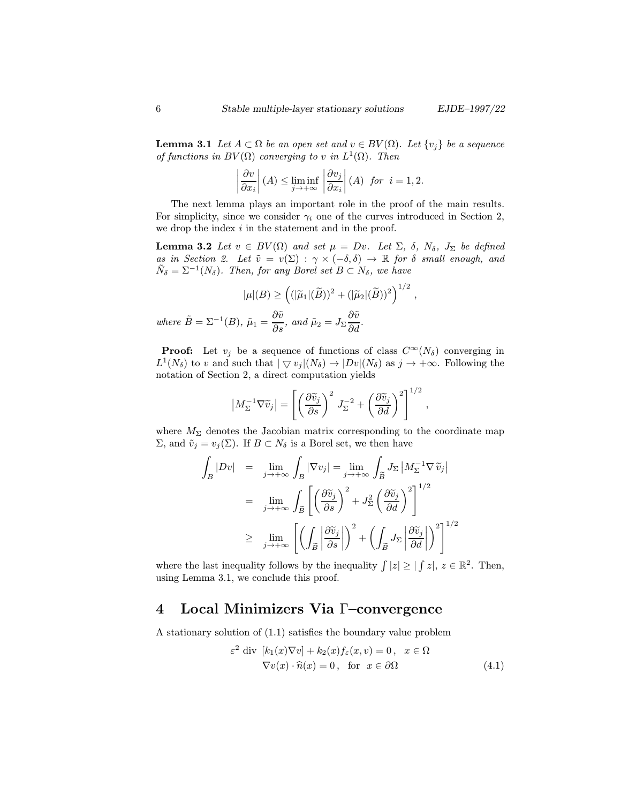,

,

**Lemma 3.1** Let  $A \subset \Omega$  be an open set and  $v \in BV(\Omega)$ . Let  $\{v_j\}$  be a sequence of functions in  $BV(\Omega)$  converging to v in  $L^1(\Omega)$ . Then

$$
\left|\frac{\partial v}{\partial x_i}\right|(A) \le \liminf_{j \to +\infty} \left|\frac{\partial v_j}{\partial x_i}\right|(A) \text{ for } i = 1, 2.
$$

The next lemma plays an important role in the proof of the main results. For simplicity, since we consider  $\gamma_i$  one of the curves introduced in Section 2, we drop the index  $i$  in the statement and in the proof.

**Lemma 3.2** Let  $v \in BV(\Omega)$  and set  $\mu = Dv$ . Let  $\Sigma$ ,  $\delta$ ,  $N_{\delta}$ ,  $J_{\Sigma}$  be defined as in Section 2. Let  $\tilde{v} = v(\Sigma) : \gamma \times (-\delta, \delta) \to \mathbb{R}$  for  $\delta$  small enough, and  $\tilde{N}_{\delta} = \Sigma^{-1}(N_{\delta}).$  Then, for any Borel set  $B \subset N_{\delta}$ , we have

$$
|\mu|(B) \ge \left( (|\tilde{\mu}_1|(\tilde{B}))^2 + (|\tilde{\mu}_2|(\tilde{B}))^2 \right)^{1/2}
$$
  
where  $\tilde{B} = \Sigma^{-1}(B)$ ,  $\tilde{\mu}_1 = \frac{\partial \tilde{v}}{\partial s}$ , and  $\tilde{\mu}_2 = J_{\Sigma} \frac{\partial \tilde{v}}{\partial d}$ .

**Proof:** Let  $v_j$  be a sequence of functions of class  $C^{\infty}(N_\delta)$  converging in  $L^1(N_\delta)$  to v and such that  $|\nabla v_j|(N_\delta) \to |Dv|(N_\delta)$  as  $j \to +\infty$ . Following the notation of Section 2, a direct computation yields

$$
\left| M_{\Sigma}^{-1} \nabla \widetilde{v}_j \right| = \left[ \left( \frac{\partial \widetilde{v}_j}{\partial s} \right)^2 J_{\Sigma}^{-2} + \left( \frac{\partial \widetilde{v}_j}{\partial d} \right)^2 \right]^{1/2}
$$

where  $M_{\Sigma}$  denotes the Jacobian matrix corresponding to the coordinate map  $Σ$ , and  $\tilde{v}_j = v_j(Σ)$ . If  $B ⊂ N_δ$  is a Borel set, we then have

$$
\int_{B} |Dv| = \lim_{j \to +\infty} \int_{B} |\nabla v_{j}| = \lim_{j \to +\infty} \int_{\widetilde{B}} J_{\Sigma} |M_{\Sigma}^{-1} \nabla \widetilde{v}_{j}|
$$
  
\n
$$
= \lim_{j \to +\infty} \int_{\widetilde{B}} \left[ \left( \frac{\partial \widetilde{v}_{j}}{\partial s} \right)^{2} + J_{\Sigma}^{2} \left( \frac{\partial \widetilde{v}_{j}}{\partial d} \right)^{2} \right]^{1/2}
$$
  
\n
$$
\geq \lim_{j \to +\infty} \left[ \left( \int_{\widetilde{B}} \left| \frac{\partial \widetilde{v}_{j}}{\partial s} \right| \right)^{2} + \left( \int_{\widetilde{B}} J_{\Sigma} \left| \frac{\partial \widetilde{v}_{j}}{\partial d} \right| \right)^{2} \right]^{1/2}
$$

where the last inequality follows by the inequality  $\int |z| \geq |\int z|, z \in \mathbb{R}^2$ . Then, using Lemma 3.1, we conclude this proof.

## 4 Local Minimizers Via Γ–convergence

A stationary solution of (1.1) satisfies the boundary value problem

$$
\varepsilon^2 \text{ div } [k_1(x)\nabla v] + k_2(x)f_{\varepsilon}(x,v) = 0, \quad x \in \Omega
$$
  
 
$$
\nabla v(x) \cdot \hat{n}(x) = 0, \quad \text{for } x \in \partial\Omega
$$
 (4.1)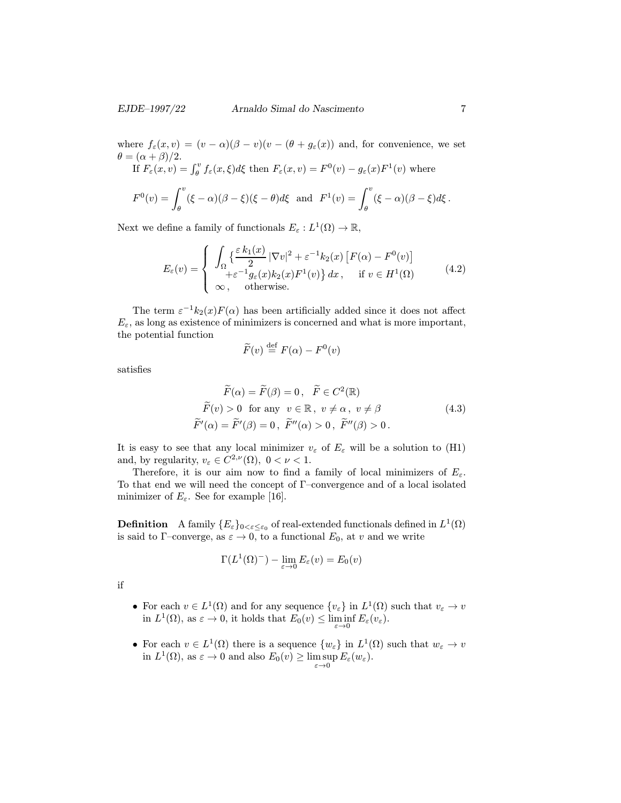where  $f_{\varepsilon}(x,v)=(v - \alpha)(\beta - v)(v - (\theta + g_{\varepsilon}(x)))$  and, for convenience, we set  $\theta = (\alpha + \beta)/2.$ If  $F_{\varepsilon}(x,v) = \int_{\theta}^{v} f_{\varepsilon}(x,\xi) d\xi$  then  $F_{\varepsilon}(x,v) = F^{0}(v) - g_{\varepsilon}(x)F^{1}(v)$  where

$$
F^{0}(v) = \int_{\theta}^{v} (\xi - \alpha)(\beta - \xi)(\xi - \theta)d\xi \text{ and } F^{1}(v) = \int_{\theta}^{v} (\xi - \alpha)(\beta - \xi)d\xi.
$$

Next we define a family of functionals  $E_{\varepsilon}: L^1(\Omega) \to \mathbb{R}$ ,

$$
E_{\varepsilon}(v) = \begin{cases} \int_{\Omega} \left\{ \frac{\varepsilon k_1(x)}{2} |\nabla v|^2 + \varepsilon^{-1} k_2(x) \left[ F(\alpha) - F^0(v) \right] + \varepsilon^{-1} g_{\varepsilon}(x) k_2(x) F^1(v) \right\} dx, & \text{if } v \in H^1(\Omega) \\ \infty, & \text{otherwise.} \end{cases}
$$
(4.2)

The term  $\varepsilon^{-1}k_2(x)F(\alpha)$  has been artificially added since it does not affect  $E_{\varepsilon}$ , as long as existence of minimizers is concerned and what is more important, the potential function

$$
\widetilde{F}(v) \stackrel{\text{def}}{=} F(\alpha) - F^0(v)
$$

satisfies

$$
\overline{F}(\alpha) = \overline{F}(\beta) = 0, \quad \overline{F} \in C^2(\mathbb{R})
$$
  
\n
$$
\widetilde{F}(v) > 0 \quad \text{for any} \quad v \in \mathbb{R}, \quad v \neq \alpha, \quad v \neq \beta
$$
  
\n
$$
\widetilde{F}'(\alpha) = \widetilde{F}'(\beta) = 0, \quad \widetilde{F}''(\alpha) > 0, \quad \widetilde{F}''(\beta) > 0.
$$
\n(4.3)

It is easy to see that any local minimizer  $v_{\varepsilon}$  of  $E_{\varepsilon}$  will be a solution to (H1) and, by regularity,  $v_{\varepsilon} \in C^{2,\nu}(\Omega)$ ,  $0 < \nu < 1$ .

Therefore, it is our aim now to find a family of local minimizers of  $E_{\varepsilon}$ . To that end we will need the concept of Γ–convergence and of a local isolated minimizer of  $E_{\varepsilon}$ . See for example [16].

**Definition** A family  $\{E_{\varepsilon}\}_{0<\varepsilon\leq\varepsilon_0}$  of real-extended functionals defined in  $L^1(\Omega)$ is said to Γ-converge, as  $\varepsilon \to 0$ , to a functional  $E_0$ , at v and we write

$$
\Gamma(L^1(\Omega)^-) - \lim_{\varepsilon \to 0} E_{\varepsilon}(v) = E_0(v)
$$

if

- For each  $v \in L^1(\Omega)$  and for any sequence  $\{v_{\varepsilon}\}\$ in  $L^1(\Omega)$  such that  $v_{\varepsilon} \to v$ in  $L^1(\Omega)$ , as  $\varepsilon \to 0$ , it holds that  $E_0(v) \leq \liminf_{\varepsilon \to 0} E_{\varepsilon}(v_{\varepsilon})$ .
- For each  $v \in L^1(\Omega)$  there is a sequence  $\{w_{\varepsilon}\}\$ in  $L^1(\Omega)$  such that  $w_{\varepsilon} \to v$ in  $L^1(\Omega)$ , as  $\varepsilon \to 0$  and also  $E_0(v) \ge \limsup_{\varepsilon \to 0} E_{\varepsilon}(w_{\varepsilon})$ .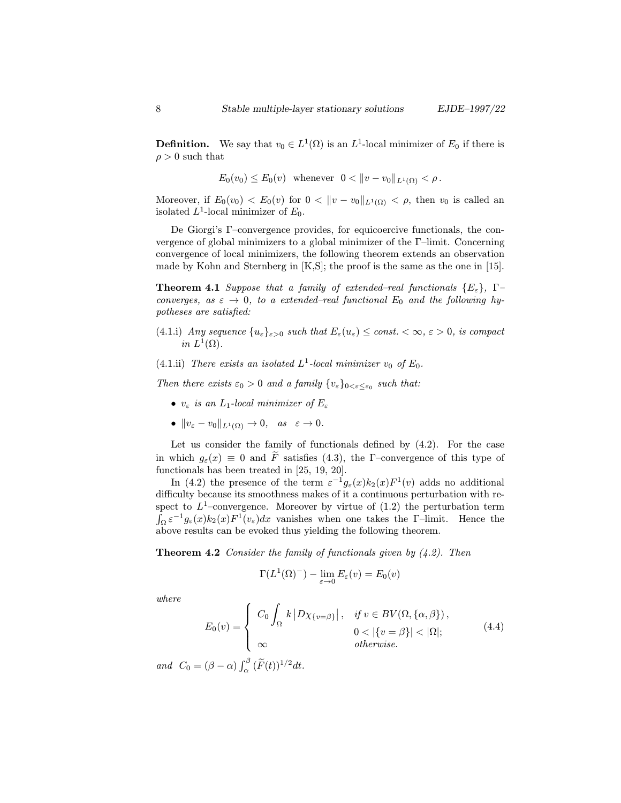**Definition.** We say that  $v_0 \in L^1(\Omega)$  is an  $L^1$ -local minimizer of  $E_0$  if there is  $\rho > 0$  such that

$$
E_0(v_0) \le E_0(v)
$$
 whenever  $0 < ||v - v_0||_{L^1(\Omega)} < \rho$ .

Moreover, if  $E_0(v_0) < E_0(v)$  for  $0 < ||v - v_0||_{L^1(\Omega)} < \rho$ , then  $v_0$  is called an isolated  $L^1$ -local minimizer of  $E_0$ .

De Giorgi's Γ–convergence provides, for equicoercive functionals, the convergence of global minimizers to a global minimizer of the Γ–limit. Concerning convergence of local minimizers, the following theorem extends an observation made by Kohn and Sternberg in [K,S]; the proof is the same as the one in [15].

**Theorem 4.1** Suppose that a family of extended–real functionals  $\{E_{\varepsilon}\}\$ ,  $\Gamma$ converges, as  $\varepsilon \to 0$ , to a extended–real functional  $E_0$  and the following hypotheses are satisfied:

- (4.1.i) Any sequence  $\{u_{\varepsilon}\}_{{\varepsilon}>0}$  such that  $E_{\varepsilon}(u_{\varepsilon}) \leq \text{const.} < \infty, {\varepsilon} > 0$ , is compact in  $L^1(\Omega)$ .
- (4.1.ii) There exists an isolated  $L^1$ -local minimizer  $v_0$  of  $E_0$ .

Then there exists  $\varepsilon_0 > 0$  and a family  $\{v_{\varepsilon}\}_{0 \leq \varepsilon \leq \varepsilon_0}$  such that:

- $v_{\varepsilon}$  is an  $L_1$ -local minimizer of  $E_{\varepsilon}$
- $||v_{\varepsilon} v_0||_{L^1(\Omega)} \to 0$ , as  $\varepsilon \to 0$ .

Let us consider the family of functionals defined by (4.2). For the case in which  $q_{\varepsilon}(x) \equiv 0$  and  $\tilde{F}$  satisfies (4.3), the Γ–convergence of this type of functionals has been treated in [25, 19, 20].

In (4.2) the presence of the term  $\varepsilon^{-1} g_{\varepsilon}(x) k_2(x) F^1(v)$  adds no additional difficulty because its smoothness makes of it a continuous perturbation with respect to  $L^1$ -convergence. Moreover by virtue of  $(1.2)$  the perturbation term  $\int_{\Omega} \varepsilon^{-1} g_{\varepsilon}(x) k_2(x) F^{1}(v_{\varepsilon}) dx$  vanishes when one takes the Γ–limit. Hence the above results can be evoked thus yielding the following theorem.

**Theorem 4.2** Consider the family of functionals given by  $(4.2)$ . Then

$$
\Gamma(L^1(\Omega)^-) - \lim_{\varepsilon \to 0} E_{\varepsilon}(v) = E_0(v)
$$

where

$$
E_0(v) = \begin{cases} C_0 \int_{\Omega} k |D\chi_{\{v=\beta\}}|, & \text{if } v \in BV(\Omega, \{\alpha, \beta\}), \\ \infty & 0 < |\{v=\beta\}| < |\Omega|; \\ \infty & \text{otherwise.} \end{cases}
$$
(4.4)

and  $C_0 = (\beta - \alpha) \int_{\alpha}^{\beta} (\widetilde{F}(t))^{1/2} dt$ .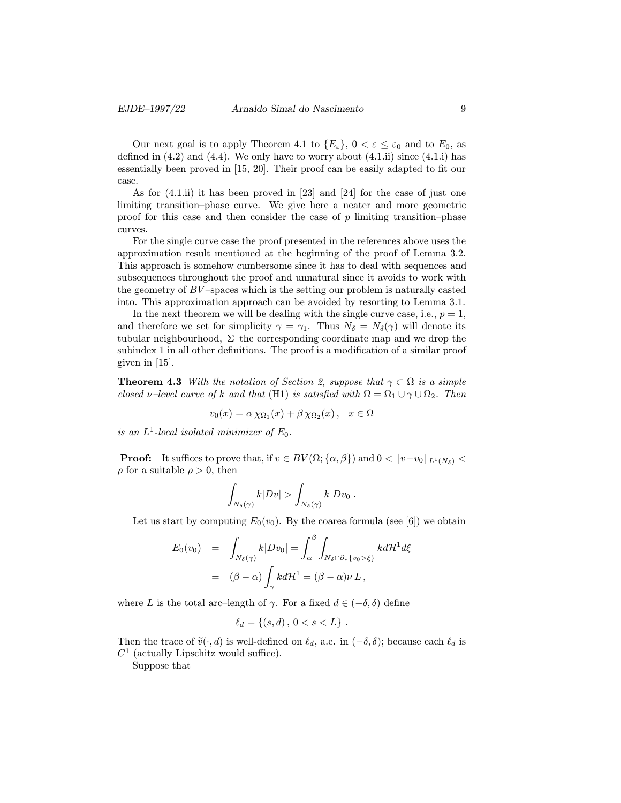Our next goal is to apply Theorem 4.1 to  $\{E_{\varepsilon}\}\,$ ,  $0 < \varepsilon \leq \varepsilon_0$  and to  $E_0$ , as defined in  $(4.2)$  and  $(4.4)$ . We only have to worry about  $(4.1.ii)$  since  $(4.1.ii)$  has essentially been proved in [15, 20]. Their proof can be easily adapted to fit our case.

As for (4.1.ii) it has been proved in [23] and [24] for the case of just one limiting transition–phase curve. We give here a neater and more geometric proof for this case and then consider the case of  $p$  limiting transition–phase curves.

For the single curve case the proof presented in the references above uses the approximation result mentioned at the beginning of the proof of Lemma 3.2. This approach is somehow cumbersome since it has to deal with sequences and subsequences throughout the proof and unnatural since it avoids to work with the geometry of  $BV$ -spaces which is the setting our problem is naturally casted into. This approximation approach can be avoided by resorting to Lemma 3.1.

In the next theorem we will be dealing with the single curve case, i.e.,  $p = 1$ , and therefore we set for simplicity  $\gamma = \gamma_1$ . Thus  $N_{\delta} = N_{\delta}(\gamma)$  will denote its tubular neighbourhood,  $\Sigma$  the corresponding coordinate map and we drop the subindex 1 in all other definitions. The proof is a modification of a similar proof given in [15].

**Theorem 4.3** With the notation of Section 2, suppose that  $\gamma \subset \Omega$  is a simple closed v–level curve of k and that (H1) is satisfied with  $\Omega = \Omega_1 \cup \gamma \cup \Omega_2$ . Then

$$
v_0(x) = \alpha \chi_{\Omega_1}(x) + \beta \chi_{\Omega_2}(x), \quad x \in \Omega
$$

is an  $L^1$ -local isolated minimizer of  $E_0$ .

**Proof:** It suffices to prove that, if  $v \in BV(\Omega; {\alpha, \beta})$  and  $0 < ||v-v_0||_{L^1(N_s)}$  $\rho$  for a suitable  $\rho > 0$ , then

$$
\int_{N_\delta(\gamma)}k|Dv|>\int_{N_\delta(\gamma)}k|Dv_0|.
$$

Let us start by computing  $E_0(v_0)$ . By the coarea formula (see [6]) we obtain

$$
E_0(v_0) = \int_{N_\delta(\gamma)} k|Dv_0| = \int_\alpha^\beta \int_{N_\delta \cap \partial_* \{v_0 > \xi\}} k d\mathcal{H}^1 d\xi
$$
  
= 
$$
(\beta - \alpha) \int_\gamma k d\mathcal{H}^1 = (\beta - \alpha) \nu L,
$$

where L is the total arc–length of  $\gamma$ . For a fixed  $d \in (-\delta, \delta)$  define

$$
\ell_d = \{(s, d), \, 0 < s < L\} \, .
$$

Then the trace of  $\tilde{v}(\cdot, d)$  is well-defined on  $\ell_d$ , a.e. in  $(-\delta, \delta)$ ; because each  $\ell_d$  is  $C<sup>1</sup>$  (actually Lipschitz would suffice).

Suppose that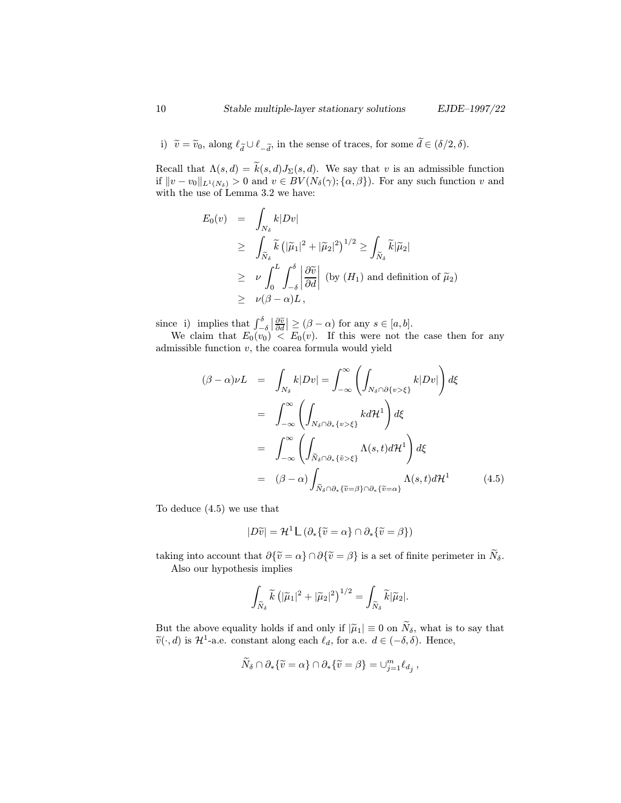i)  $\tilde{v} = \tilde{v}_0$ , along  $\ell_{\tilde{d}} \cup \ell_{-\tilde{d}}$ , in the sense of traces, for some  $d \in (\delta/2, \delta)$ .

Recall that  $\Lambda(s, d) = \widetilde{k}(s, d)J_{\Sigma}(s, d)$ . We say that v is an admissible function if  $||v - v_0||_{L^1(N_\delta)} > 0$  and  $v \in BV(N_\delta(\gamma); {\alpha, \beta})$ . For any such function v and with the use of Lemma 3.2 we have:

$$
E_0(v) = \int_{N_\delta} k|Dv|
$$
  
\n
$$
\geq \int_{\widetilde{N}_\delta} \widetilde{k} \left( |\widetilde{\mu}_1|^2 + |\widetilde{\mu}_2|^2 \right)^{1/2} \geq \int_{\widetilde{N}_\delta} \widetilde{k}|\widetilde{\mu}_2|
$$
  
\n
$$
\geq \nu \int_0^L \int_{-\delta}^{\delta} \left| \frac{\partial \widetilde{v}}{\partial d} \right| \text{ (by } (H_1) \text{ and definition of } \widetilde{\mu}_2)
$$
  
\n
$$
\geq \nu(\beta - \alpha)L,
$$

since i) implies that  $\int_{-\delta}^{\delta} \left| \frac{\partial \tilde{v}}{\partial d} \right| \geq (\beta - \alpha)$  for any  $s \in [a, b]$ .

We claim that  $E_0(v_0) < E_0(v)$ . If this were not the case then for any admissible function  $v$ , the coarea formula would yield

$$
(\beta - \alpha)\nu L = \int_{N_{\delta}} k|Dv| = \int_{-\infty}^{\infty} \left( \int_{N_{\delta} \cap \partial \{v > \xi\}} k|Dv| \right) d\xi
$$
  

$$
= \int_{-\infty}^{\infty} \left( \int_{N_{\delta} \cap \partial_{*} \{v > \xi\}} k d\mathcal{H}^{1} \right) d\xi
$$
  

$$
= \int_{-\infty}^{\infty} \left( \int_{\tilde{N}_{\delta} \cap \partial_{*} \{v > \xi\}} \Lambda(s, t) d\mathcal{H}^{1} \right) d\xi
$$
  

$$
= (\beta - \alpha) \int_{\tilde{N}_{\delta} \cap \partial_{*} \{v = \beta\} \cap \partial_{*} \{v = \alpha\}} \Lambda(s, t) d\mathcal{H}^{1}
$$
(4.5)

To deduce (4.5) we use that

$$
|D\widetilde{v}| = \mathcal{H}^1 \mathsf{L} \left( \partial_* \{ \widetilde{v} = \alpha \} \cap \partial_* \{ \widetilde{v} = \beta \} \right)
$$

taking into account that  $\partial {\tilde{v}} = \alpha \} \cap \partial {\tilde{v}} = \beta$  is a set of finite perimeter in  $\tilde{N}_{\delta}$ . Also our hypothesis implies

$$
\int_{\widetilde{N}_\delta} \widetilde{k}\left(|\widetilde{\mu}_1|^2+|\widetilde{\mu}_2|^2\right)^{1/2} = \int_{\widetilde{N}_\delta} \widetilde{k}|\widetilde{\mu}_2|.
$$

But the above equality holds if and only if  $|\tilde{\mu}_1| \equiv 0$  on  $\tilde{N}_{\delta}$ , what is to say that  $\widetilde{v}(\cdot, d)$  is  $\mathcal{H}^1$ -a.e. constant along each  $\ell_d$ , for a.e.  $d \in (-\delta, \delta)$ . Hence,

$$
\widetilde{N}_{\delta} \cap \partial_* \{ \widetilde{v} = \alpha \} \cap \partial_* \{ \widetilde{v} = \beta \} = \cup_{j=1}^m \ell_{d_j} ,
$$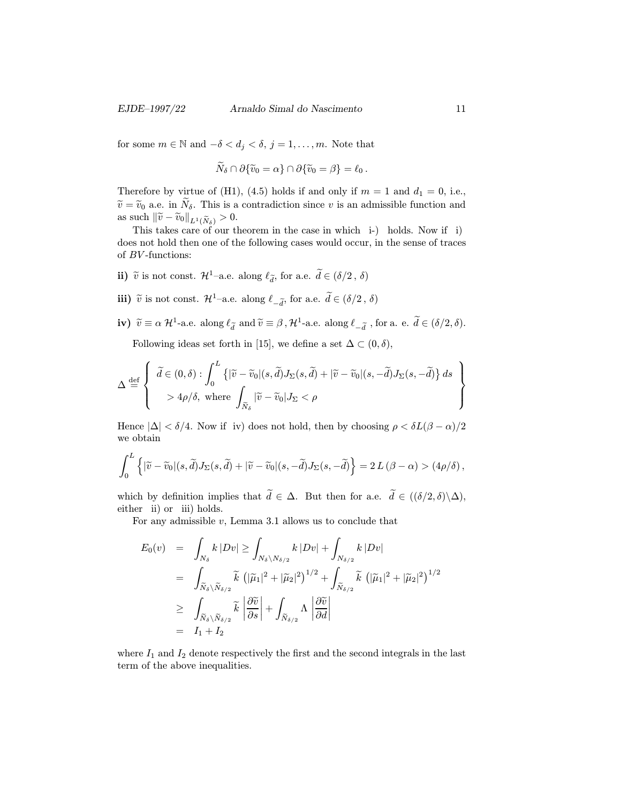for some  $m \in \mathbb{N}$  and  $-\delta < d_j < \delta, j = 1, \ldots, m$ . Note that

$$
\widetilde{N}_{\delta}\cap \partial\{\widetilde{v}_0=\alpha\}\cap \partial\{\widetilde{v}_0=\beta\}=\ell_0.
$$

Therefore by virtue of (H1), (4.5) holds if and only if  $m = 1$  and  $d_1 = 0$ , i.e.,  $\tilde{v} = \tilde{v}_0$  a.e. in  $\tilde{N}_{\delta}$ . This is a contradiction since v is an admissible function and as such  $\|\tilde{v}-\tilde{v}_0\|_{L^1(\tilde{N}_\delta)} > 0.$ 

This takes care of our theorem in the case in which i-) holds. Now if i) does not hold then one of the following cases would occur, in the sense of traces of  $BV$ -functions:

- ii)  $\tilde{v}$  is not const.  $\mathcal{H}^1$ –a.e. along  $\ell_{\tilde{d}}$ , for a.e.  $\tilde{d} \in (\delta/2, \delta)$
- iii)  $\tilde{v}$  is not const.  $\mathcal{H}^1$ –a.e. along  $\ell_{-\tilde{d}}$ , for a.e.  $\tilde{d} \in (\delta/2, \delta)$
- iv)  $\tilde{v} \equiv \alpha \mathcal{H}^1$ -a.e. along  $\ell_{\tilde{d}}$  and  $\tilde{v} \equiv \beta$ ,  $\mathcal{H}^1$ -a.e. along  $\ell_{-\tilde{d}}$ , for a. e.  $\tilde{d} \in (\delta/2, \delta)$ .

Following ideas set forth in [15], we define a set  $\Delta \subset (0, \delta)$ ,

$$
\Delta \stackrel{\text{def}}{=} \left\{ \begin{array}{l} \widetilde{d} \in (0,\delta) : \int_0^L \left\{ |\widetilde{v} - \widetilde{v}_0|(s,\widetilde{d})J_{\Sigma}(s,\widetilde{d}) + |\widetilde{v} - \widetilde{v}_0|(s,-\widetilde{d})J_{\Sigma}(s,-\widetilde{d}) \right\} ds \\ > 4\rho/\delta, \text{ where } \int_{\widetilde{N}_{\delta}} |\widetilde{v} - \widetilde{v}_0|J_{\Sigma} < \rho \end{array} \right\}
$$

Hence  $|\Delta| < \delta/4$ . Now if iv) does not hold, then by choosing  $\rho < \delta L(\beta - \alpha)/2$ we obtain

$$
\int_0^L \left\{ |\widetilde{v} - \widetilde{v}_0|(s, \widetilde{d}) J_{\Sigma}(s, \widetilde{d}) + |\widetilde{v} - \widetilde{v}_0|(s, -\widetilde{d}) J_{\Sigma}(s, -\widetilde{d}) \right\} = 2 L (\beta - \alpha) > (4\rho/\delta),
$$

which by definition implies that  $d \in \Delta$ . But then for a.e.  $d \in ((\delta/2, \delta) \setminus \Delta)$ , either ii) or iii) holds.

For any admissible  $v$ , Lemma 3.1 allows us to conclude that

$$
E_0(v) = \int_{N_\delta} k |Dv| \ge \int_{N_\delta \setminus N_{\delta/2}} k |Dv| + \int_{N_{\delta/2}} k |Dv|
$$
  
\n
$$
= \int_{\widetilde{N}_\delta \setminus \widetilde{N}_{\delta/2}} \widetilde{k} \left( |\widetilde{\mu}_1|^2 + |\widetilde{\mu}_2|^2 \right)^{1/2} + \int_{\widetilde{N}_{\delta/2}} \widetilde{k} \left( |\widetilde{\mu}_1|^2 + |\widetilde{\mu}_2|^2 \right)^{1/2}
$$
  
\n
$$
\ge \int_{\widetilde{N}_\delta \setminus \widetilde{N}_{\delta/2}} \widetilde{k} \left| \frac{\partial \widetilde{v}}{\partial s} \right| + \int_{\widetilde{N}_{\delta/2}} \Lambda \left| \frac{\partial \widetilde{v}}{\partial d} \right|
$$
  
\n
$$
= I_1 + I_2
$$

where  $I_1$  and  $I_2$  denote respectively the first and the second integrals in the last term of the above inequalities.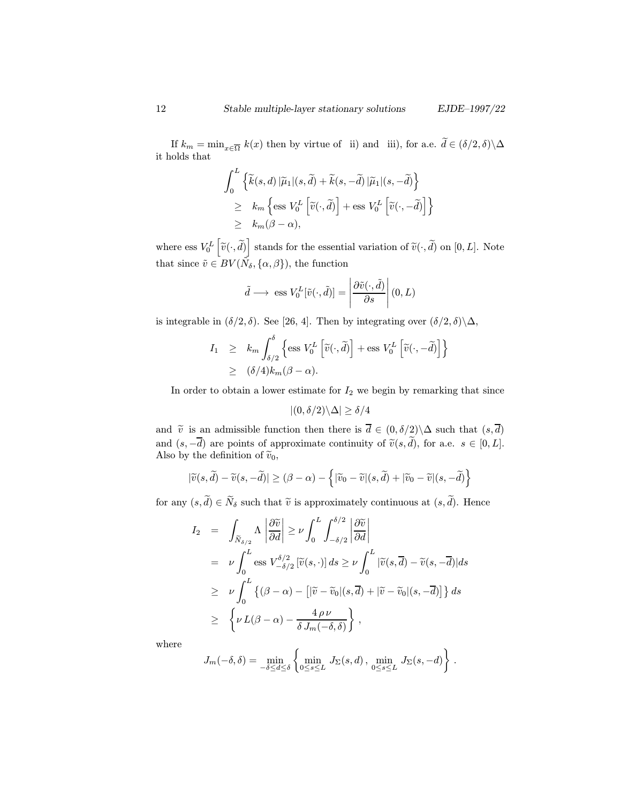If  $k_m = \min_{x \in \overline{\Omega}} k(x)$  then by virtue of ii) and iii), for a.e.  $d \in (\delta/2, \delta) \backslash \Delta$ it holds that

$$
\int_0^L \left\{ \widetilde{k}(s, d) \left| \widetilde{\mu}_1 \right| (s, \widetilde{d}) + \widetilde{k}(s, -\widetilde{d}) \left| \widetilde{\mu}_1 \right| (s, -\widetilde{d}) \right\} \n\geq k_m \left\{ \operatorname{ess} V_0^L \left[ \widetilde{v}(\cdot, \widetilde{d}) \right] + \operatorname{ess} V_0^L \left[ \widetilde{v}(\cdot, -\widetilde{d}) \right] \right\} \n\geq k_m(\beta - \alpha),
$$

where ess  $V_0^L\left[\tilde{v}(\cdot, \tilde{d})\right]$  stands for the essential variation of  $\tilde{v}(\cdot, \tilde{d})$  on  $[0, L]$ . Note that since  $\tilde{v} \in BV(\tilde{N}_\delta,\{\alpha,\beta\}),$  the function

$$
\tilde{d} \longrightarrow \text{ ess } V_0^L[\tilde{v}(\cdot, \tilde{d})] = \left| \frac{\partial \tilde{v}(\cdot, \tilde{d})}{\partial s} \right| (0, L)
$$

is integrable in  $(\delta/2, \delta)$ . See [26, 4]. Then by integrating over  $(\delta/2, \delta)\backslash\Delta$ ,

$$
I_1 \geq k_m \int_{\delta/2}^{\delta} \left\{ \operatorname{ess} V_0^L \left[ \tilde{v}(\cdot, \tilde{d}) \right] + \operatorname{ess} V_0^L \left[ \tilde{v}(\cdot, -\tilde{d}) \right] \right\}
$$
  
 
$$
\geq (\delta/4) k_m (\beta - \alpha).
$$

In order to obtain a lower estimate for  $I_2$  we begin by remarking that since

$$
|(0,\delta/2)\backslash \Delta|\geq \delta/4
$$

and  $\tilde{v}$  is an admissible function then there is  $\overline{d} \in (0, \delta/2) \backslash \Delta$  such that  $(s, \overline{d})$ and  $(s, -d)$  are points of approximate continuity of  $\tilde{v}(s, d)$ , for a.e.  $s \in [0, L]$ . Also by the definition of  $\tilde{v}_0$ ,

$$
|\widetilde{v}(s,\widetilde{d})-\widetilde{v}(s,-\widetilde{d})|\geq(\beta-\alpha)-\left\{|\widetilde{v}_0-\widetilde{v}|(s,\widetilde{d})+|\widetilde{v}_0-\widetilde{v}|(s,-\widetilde{d})\right\}
$$

for any  $(s, d) \in N_\delta$  such that  $\tilde{v}$  is approximately continuous at  $(s, d)$ . Hence

$$
I_2 = \int_{\tilde{N}_{\delta/2}} \Lambda \left| \frac{\partial \tilde{v}}{\partial d} \right| \geq \nu \int_0^L \int_{-\delta/2}^{\delta/2} \left| \frac{\partial \tilde{v}}{\partial d} \right|
$$
  
\n
$$
= \nu \int_0^L \text{ess } V_{-\delta/2}^{\delta/2} \left[ \tilde{v}(s, \cdot) \right] ds \geq \nu \int_0^L \left| \tilde{v}(s, \overline{d}) - \tilde{v}(s, -\overline{d}) \right| ds
$$
  
\n
$$
\geq \nu \int_0^L \left\{ (\beta - \alpha) - \left[ \left| \tilde{v} - \tilde{v}_0 \right| (s, \overline{d}) + \left| \tilde{v} - \tilde{v}_0 \right| (s, -\overline{d}) \right] \right\} ds
$$
  
\n
$$
\geq \left\{ \nu L(\beta - \alpha) - \frac{4 \, \rho \, \nu}{\delta \, J_m(-\delta, \delta)} \right\},
$$

where

$$
J_m(-\delta,\delta) = \min_{-\delta \le d \le \delta} \left\{ \min_{0 \le s \le L} J_\Sigma(s,d) \, , \, \min_{0 \le s \le L} J_\Sigma(s,-d) \right\} \, .
$$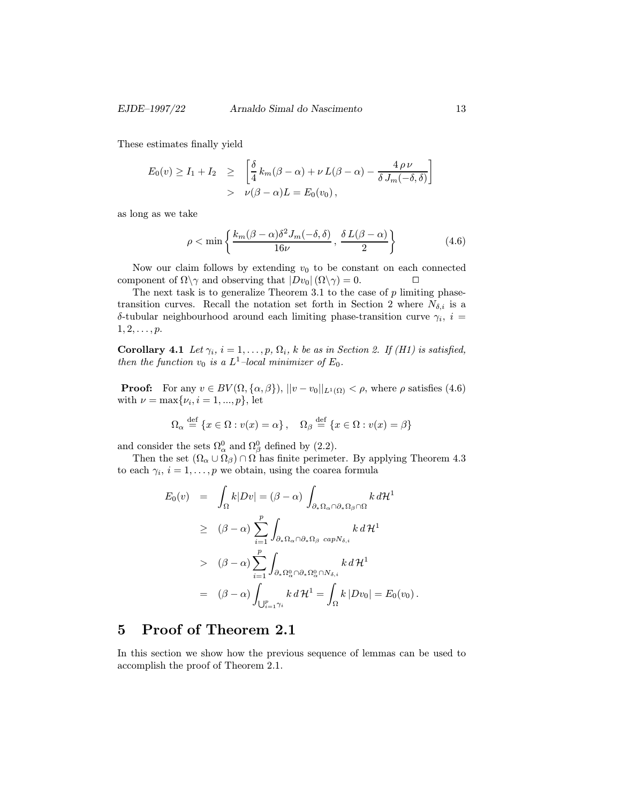These estimates finally yield

$$
E_0(v) \ge I_1 + I_2 \ge \left[ \frac{\delta}{4} k_m(\beta - \alpha) + \nu L(\beta - \alpha) - \frac{4 \rho \nu}{\delta J_m(-\delta, \delta)} \right]
$$
  
>  $\nu(\beta - \alpha)L = E_0(v_0),$ 

as long as we take

$$
\rho < \min\left\{\frac{k_m(\beta-\alpha)\delta^2 J_m(-\delta,\delta)}{16\nu}, \, \frac{\delta L(\beta-\alpha)}{2}\right\} \tag{4.6}
$$

Now our claim follows by extending  $v_0$  to be constant on each connected component of  $\Omega \setminus \gamma$  and observing that  $|Dv_0|(\Omega \setminus \gamma) = 0$ .

The next task is to generalize Theorem 3.1 to the case of  $p$  limiting phasetransition curves. Recall the notation set forth in Section 2 where  $N_{\delta,i}$  is a δ-tubular neighbourhood around each limiting phase-transition curve  $γ<sub>i</sub>$ ,  $i =$  $1, 2, \ldots, p.$ 

Corollary 4.1 Let  $\gamma_i$ ,  $i = 1, \ldots, p$ ,  $\Omega_i$ , k be as in Section 2. If (H1) is satisfied, then the function  $v_0$  is a  $L^1$ -local minimizer of  $E_0$ .

**Proof:** For any  $v \in BV(\Omega, {\alpha, \beta})$ ,  $||v - v_0||_{L^1(\Omega)} < \rho$ , where  $\rho$  satisfies (4.6) with  $\nu = \max\{\nu_i, i = 1, ..., p\}$ , let

$$
\Omega_{\alpha} \stackrel{\text{def}}{=} \{x \in \Omega : v(x) = \alpha\}, \quad \Omega_{\beta} \stackrel{\text{def}}{=} \{x \in \Omega : v(x) = \beta\}
$$

and consider the sets  $\Omega_{\alpha}^{0}$  and  $\Omega_{\beta}^{0}$  defined by (2.2).

Then the set  $(\Omega_{\alpha} \cup \Omega_{\beta}) \cap \Omega$  has finite perimeter. By applying Theorem 4.3 to each  $\gamma_i$ ,  $i = 1, \ldots, p$  we obtain, using the coarea formula

$$
E_0(v) = \int_{\Omega} k|Dv| = (\beta - \alpha) \int_{\partial_*\Omega_{\alpha} \cap \partial_*\Omega_{\beta} \cap \Omega} k d\mathcal{H}^1
$$
  
\n
$$
\geq (\beta - \alpha) \sum_{i=1}^p \int_{\partial_*\Omega_{\alpha} \cap \partial_*\Omega_{\beta}} \sum_{cap N_{\delta,i}} k d\mathcal{H}^1
$$
  
\n
$$
> (\beta - \alpha) \sum_{i=1}^p \int_{\partial_*\Omega_{\alpha}^0 \cap \partial_*\Omega_{\alpha}^0 \cap N_{\delta,i}} k d\mathcal{H}^1
$$
  
\n
$$
= (\beta - \alpha) \int_{\bigcup_{i=1}^p \gamma_i} k d\mathcal{H}^1 = \int_{\Omega} k |Dv_0| = E_0(v_0).
$$

## 5 Proof of Theorem 2.1

In this section we show how the previous sequence of lemmas can be used to accomplish the proof of Theorem 2.1.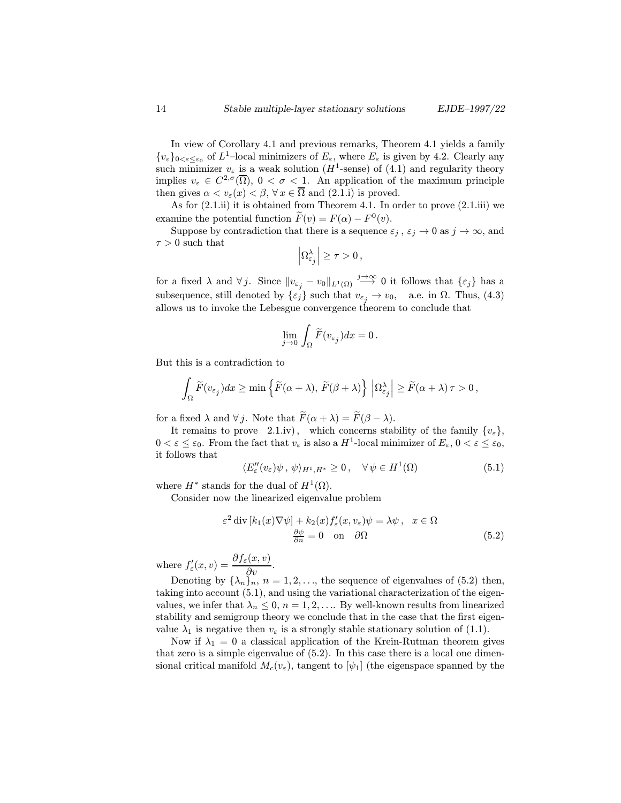In view of Corollary 4.1 and previous remarks, Theorem 4.1 yields a family  ${v_{\varepsilon}}_{0<\varepsilon<\varepsilon_0}$  of  $L^1$ -local minimizers of  $E_{\varepsilon}$ , where  $E_{\varepsilon}$  is given by 4.2. Clearly any such minimizer  $v_{\varepsilon}$  is a weak solution (H<sup>1</sup>-sense) of (4.1) and regularity theory implies  $v_{\varepsilon} \in C^{2,\sigma}(\overline{\Omega})$ ,  $0 < \sigma < 1$ . An application of the maximum principle then gives  $\alpha < v_{\varepsilon}(x) < \beta, \forall x \in \overline{\Omega}$  and  $(2.1.1)$  is proved.

As for (2.1.ii) it is obtained from Theorem 4.1. In order to prove (2.1.iii) we examine the potential function  $\widetilde{F}(v) = F(\alpha) - F^0(v)$ .

Suppose by contradiction that there is a sequence  $\varepsilon_j$ ,  $\varepsilon_j \to 0$  as  $j \to \infty$ , and  $\tau > 0$  such that  $\overline{\phantom{a}}$ 

$$
\left|\Omega^{\lambda}_{\varepsilon_j}\right|\geq \tau>0\,,
$$

for a fixed  $\lambda$  and  $\forall j$ . Since  $||v_{\varepsilon_j} - v_0||_{L^1(\Omega)} \stackrel{j\to\infty}{\longrightarrow} 0$  it follows that  $\{\varepsilon_j\}$  has a subsequence, still denoted by  $\{\varepsilon_j\}$  such that  $v_{\varepsilon_j} \to v_0$ , a.e. in  $\Omega$ . Thus, (4.3) allows us to invoke the Lebesgue convergence theorem to conclude that

$$
\lim_{j\to 0}\,\int_\Omega \widetilde{F}(v_{\varepsilon_j})dx=0\,.
$$

But this is a contradiction to

$$
\int_{\Omega} \widetilde{F}(v_{\varepsilon_j}) dx \ge \min \left\{ \widetilde{F}(\alpha + \lambda), \, \widetilde{F}(\beta + \lambda) \right\} \, \left| \Omega_{\varepsilon_j}^{\lambda} \right| \ge \widetilde{F}(\alpha + \lambda) \, \tau > 0 \, ,
$$

for a fixed  $\lambda$  and  $\forall j$ . Note that  $\widetilde{F}(\alpha + \lambda) = \widetilde{F}(\beta - \lambda)$ .

It remains to prove 2.1.iv), which concerns stability of the family  $\{v_{\varepsilon}\},$  $0 < \varepsilon \leq \varepsilon_0$ . From the fact that  $v_{\varepsilon}$  is also a  $H^1$ -local minimizer of  $E_{\varepsilon}$ ,  $0 < \varepsilon \leq \varepsilon_0$ , it follows that

$$
\langle E''_{\varepsilon}(v_{\varepsilon})\psi, \psi \rangle_{H^1, H^*} \ge 0, \quad \forall \psi \in H^1(\Omega)
$$
\n
$$
(5.1)
$$

where  $H^*$  stands for the dual of  $H^1(\Omega)$ .

Consider now the linearized eigenvalue problem

$$
\varepsilon^2 \operatorname{div} [k_1(x) \nabla \psi] + k_2(x) f'_{\varepsilon}(x, v_{\varepsilon}) \psi = \lambda \psi, \quad x \in \Omega
$$
  

$$
\frac{\partial \psi}{\partial n} = 0 \quad \text{on} \quad \partial \Omega \tag{5.2}
$$

where  $f'_{\varepsilon}(x,v) = \frac{\partial f_{\varepsilon}(x,v)}{\partial v}$ .

Denoting by  $\{\lambda_n\}_n$ ,  $n = 1, 2, \ldots$ , the sequence of eigenvalues of (5.2) then, taking into account (5.1), and using the variational characterization of the eigenvalues, we infer that  $\lambda_n \leq 0$ ,  $n = 1, 2, \ldots$  By well-known results from linearized stability and semigroup theory we conclude that in the case that the first eigenvalue  $\lambda_1$  is negative then  $v_{\varepsilon}$  is a strongly stable stationary solution of (1.1).

Now if  $\lambda_1 = 0$  a classical application of the Krein-Rutman theorem gives that zero is a simple eigenvalue of (5.2). In this case there is a local one dimensional critical manifold  $M_c(v_\varepsilon)$ , tangent to  $|\psi_1|$  (the eigenspace spanned by the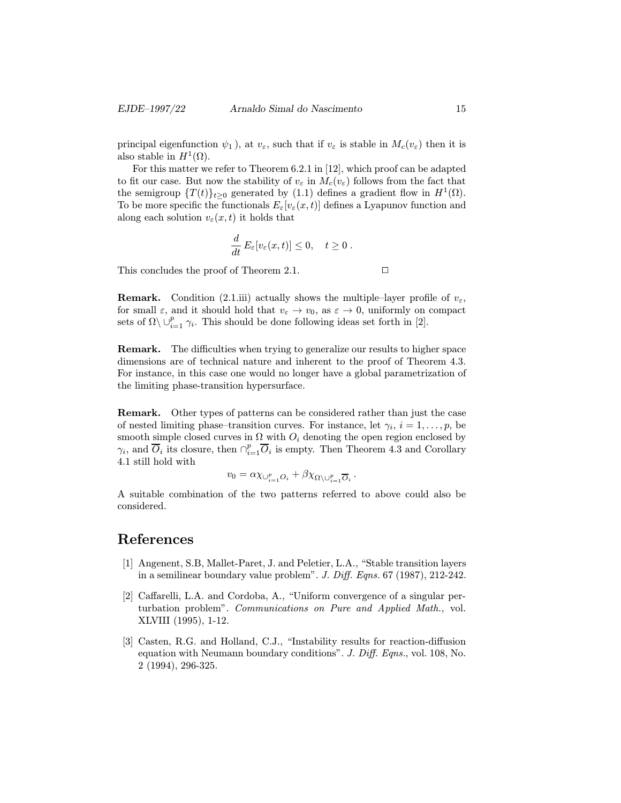principal eigenfunction  $\psi_1$ ), at  $v_{\varepsilon}$ , such that if  $v_{\varepsilon}$  is stable in  $M_c(v_{\varepsilon})$  then it is also stable in  $H^1(\Omega)$ .

For this matter we refer to Theorem 6.2.1 in [12], which proof can be adapted to fit our case. But now the stability of  $v_{\varepsilon}$  in  $M_c(v_{\varepsilon})$  follows from the fact that the semigroup  $\{T(t)\}_{t\geq0}$  generated by (1.1) defines a gradient flow in  $H^1(\Omega)$ . To be more specific the functionals  $E_{\varepsilon}[v_{\varepsilon}(x,t)]$  defines a Lyapunov function and along each solution  $v_{\varepsilon}(x,t)$  it holds that

$$
\frac{d}{dt} E_{\varepsilon}[v_{\varepsilon}(x,t)] \leq 0, \quad t \geq 0.
$$

This concludes the proof of Theorem 2.1.  $\Box$ 

**Remark.** Condition (2.1.iii) actually shows the multiple–layer profile of  $v_{\varepsilon}$ , for small  $\varepsilon$ , and it should hold that  $v_{\varepsilon} \to v_0$ , as  $\varepsilon \to 0$ , uniformly on compact sets of  $\Omega \setminus \cup_{i=1}^p \gamma_i$ . This should be done following ideas set forth in [2].

Remark. The difficulties when trying to generalize our results to higher space dimensions are of technical nature and inherent to the proof of Theorem 4.3. For instance, in this case one would no longer have a global parametrization of the limiting phase-transition hypersurface.

Remark. Other types of patterns can be considered rather than just the case of nested limiting phase–transition curves. For instance, let  $\gamma_i$ ,  $i = 1, \ldots, p$ , be smooth simple closed curves in  $\Omega$  with  $O_i$  denoting the open region enclosed by  $\gamma_i$ , and  $\overline{O}_i$  its closure, then  $\bigcap_{i=1}^p \overline{O}_i$  is empty. Then Theorem 4.3 and Corollary 4.1 still hold with

$$
v_0 = \alpha \chi_{\cup_{i=1}^p O_i} + \beta \chi_{\Omega \setminus \cup_{i=1}^p \overline{O}_i}.
$$

A suitable combination of the two patterns referred to above could also be considered.

### References

- [1] Angenent, S.B, Mallet-Paret, J. and Peletier, L.A., "Stable transition layers in a semilinear boundary value problem". J. Diff. Eqns.  $67$  (1987), 212-242.
- [2] Caffarelli, L.A. and Cordoba, A., "Uniform convergence of a singular perturbation problem". Communications on Pure and Applied Math., vol. XLVIII (1995), 1-12.
- [3] Casten, R.G. and Holland, C.J., "Instability results for reaction-diffusion equation with Neumann boundary conditions". J. Diff. Eqns., vol. 108, No. 2 (1994), 296-325.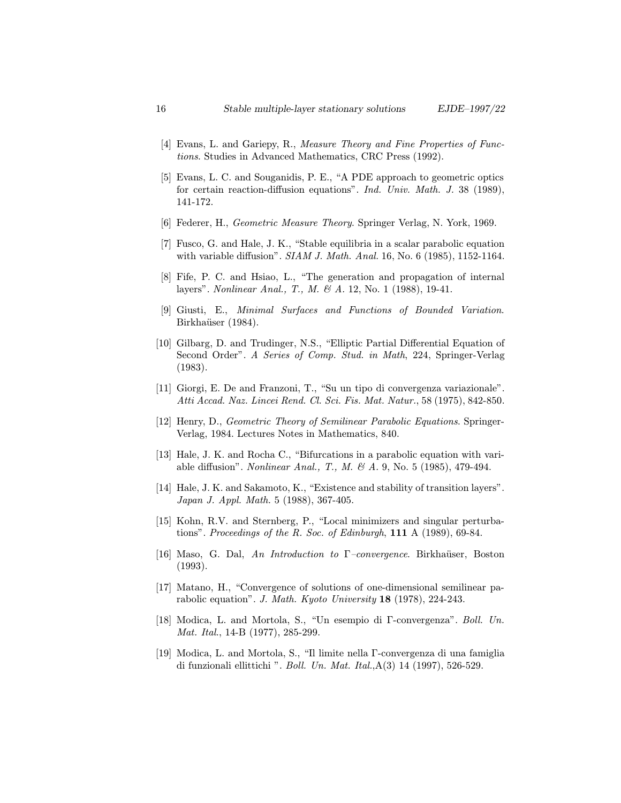- [4] Evans, L. and Gariepy, R., Measure Theory and Fine Properties of Functions. Studies in Advanced Mathematics, CRC Press (1992).
- [5] Evans, L. C. and Souganidis, P. E., "A PDE approach to geometric optics for certain reaction-diffusion equations". Ind. Univ. Math. J. 38 (1989), 141-172.
- [6] Federer, H., Geometric Measure Theory. Springer Verlag, N. York, 1969.
- [7] Fusco, G. and Hale, J. K., "Stable equilibria in a scalar parabolic equation with variable diffusion". SIAM J. Math. Anal. 16, No. 6 (1985), 1152-1164.
- [8] Fife, P. C. and Hsiao, L., "The generation and propagation of internal layers". Nonlinear Anal., T., M. & A. 12, No. 1 (1988), 19-41.
- [9] Giusti, E., Minimal Surfaces and Functions of Bounded Variation. Birkhaüser (1984).
- [10] Gilbarg, D. and Trudinger, N.S., "Elliptic Partial Differential Equation of Second Order". A Series of Comp. Stud. in Math, 224, Springer-Verlag (1983).
- [11] Giorgi, E. De and Franzoni, T., "Su un tipo di convergenza variazionale". Atti Accad. Naz. Lincei Rend. Cl. Sci. Fis. Mat. Natur., 58 (1975), 842-850.
- [12] Henry, D., Geometric Theory of Semilinear Parabolic Equations. Springer-Verlag, 1984. Lectures Notes in Mathematics, 840.
- [13] Hale, J. K. and Rocha C., "Bifurcations in a parabolic equation with variable diffusion". Nonlinear Anal., T., M. & A. 9, No. 5 (1985), 479-494.
- [14] Hale, J. K. and Sakamoto, K., "Existence and stability of transition layers". Japan J. Appl. Math. 5 (1988), 367-405.
- [15] Kohn, R.V. and Sternberg, P., "Local minimizers and singular perturbations". Proceedings of the R. Soc. of Edinburgh,  $111 \text{ A}$  (1989), 69-84.
- [16] Maso, G. Dal, An Introduction to  $\Gamma$ -convergence. Birkhaüser, Boston (1993).
- [17] Matano, H., "Convergence of solutions of one-dimensional semilinear parabolic equation". J. Math. Kyoto University 18 (1978), 224-243.
- [18] Modica, L. and Mortola, S., "Un esempio di Γ-convergenza". Boll. Un. Mat. Ital., 14-B (1977), 285-299.
- [19] Modica, L. and Mortola, S., "Il limite nella Γ-convergenza di una famiglia di funzionali ellittichi ". *Boll. Un. Mat. Ital.*, $A(3)$  14 (1997), 526-529.